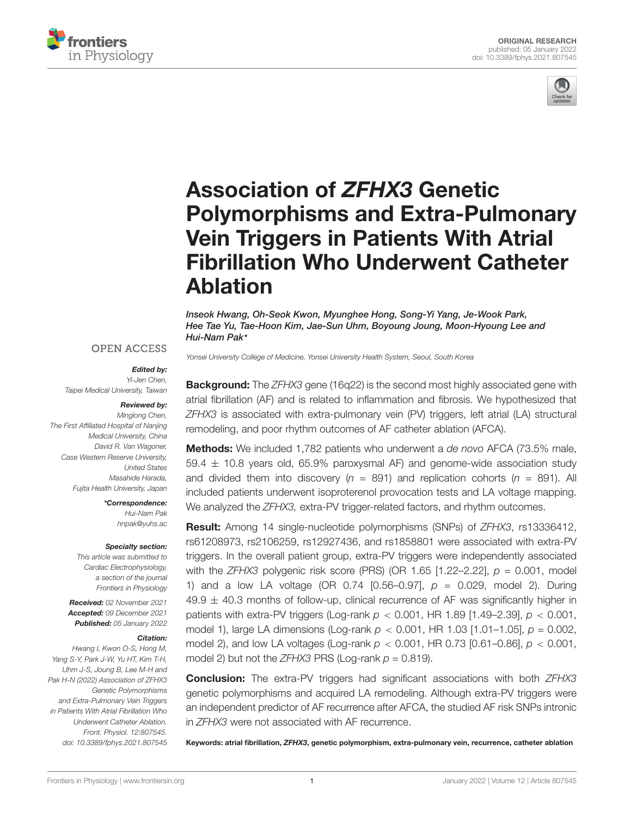



# Association of ZFHX3 Genetic [Polymorphisms and Extra-Pulmonary](https://www.frontiersin.org/articles/10.3389/fphys.2021.807545/full) Vein Triggers in Patients With Atrial Fibrillation Who Underwent Catheter Ablation

Inseok Hwang, Oh-Seok Kwon, Myunghee Hong, Song-Yi Yang, Je-Wook Park, Hee Tae Yu, Tae-Hoon Kim, Jae-Sun Uhm, Boyoung Joung, Moon-Hyoung Lee and Hui-Nam Pak\*

#### **OPEN ACCESS**

#### Edited by:

Yi-Jen Chen, Taipei Medical University, Taiwan

#### Reviewed by:

Minglong Chen, The First Affiliated Hospital of Nanjing Medical University, China David R. Van Wagoner, Case Western Reserve University, United States Masahide Harada, Fujita Health University, Japan

> \*Correspondence: Hui-Nam Pak [hnpak@yuhs.ac](mailto:hnpak@yuhs.ac)

#### Specialty section:

This article was submitted to Cardiac Electrophysiology, a section of the journal Frontiers in Physiology

Received: 02 November 2021 Accepted: 09 December 2021 Published: 05 January 2022

#### Citation:

Hwang I, Kwon O-S, Hong M, Yang S-Y, Park J-W, Yu HT, Kim T-H, Uhm J-S, Joung B, Lee M-H and Pak H-N (2022) Association of ZFHX3 Genetic Polymorphisms and Extra-Pulmonary Vein Triggers in Patients With Atrial Fibrillation Who Underwent Catheter Ablation. Front. Physiol. 12:807545. doi: [10.3389/fphys.2021.807545](https://doi.org/10.3389/fphys.2021.807545) Yonsei University College of Medicine, Yonsei University Health System, Seoul, South Korea

**Background:** The ZFHX3 gene (16q22) is the second most highly associated gene with atrial fibrillation (AF) and is related to inflammation and fibrosis. We hypothesized that ZFHX3 is associated with extra-pulmonary vein (PV) triggers, left atrial (LA) structural remodeling, and poor rhythm outcomes of AF catheter ablation (AFCA).

**Methods:** We included 1,782 patients who underwent a de novo AFCA (73.5% male,  $59.4 \pm 10.8$  years old, 65.9% paroxysmal AF) and genome-wide association study and divided them into discovery ( $n = 891$ ) and replication cohorts ( $n = 891$ ). All included patients underwent isoproterenol provocation tests and LA voltage mapping. We analyzed the ZFHX3, extra-PV trigger-related factors, and rhythm outcomes.

Result: Among 14 single-nucleotide polymorphisms (SNPs) of ZFHX3, rs13336412, rs61208973, rs2106259, rs12927436, and rs1858801 were associated with extra-PV triggers. In the overall patient group, extra-PV triggers were independently associated with the ZFHX3 polygenic risk score (PRS) (OR 1.65 [1.22–2.22],  $p = 0.001$ , model 1) and a low LA voltage (OR 0.74  $[0.56-0.97]$ ,  $p = 0.029$ , model 2). During  $49.9 \pm 40.3$  months of follow-up, clinical recurrence of AF was significantly higher in patients with extra-PV triggers (Log-rank  $p < 0.001$ , HR 1.89 [1.49–2.39],  $p < 0.001$ , model 1), large LA dimensions (Log-rank  $p < 0.001$ , HR 1.03 [1.01–1.05],  $p = 0.002$ , model 2), and low LA voltages (Log-rank  $p < 0.001$ , HR 0.73 [0.61–0.86],  $p < 0.001$ , model 2) but not the  $ZFHX3$  PRS (Log-rank  $p = 0.819$ ).

**Conclusion:** The extra-PV triggers had significant associations with both ZFHX3 genetic polymorphisms and acquired LA remodeling. Although extra-PV triggers were an independent predictor of AF recurrence after AFCA, the studied AF risk SNPs intronic in ZFHX3 were not associated with AF recurrence.

Keywords: atrial fibrillation, ZFHX3, genetic polymorphism, extra-pulmonary vein, recurrence, catheter ablation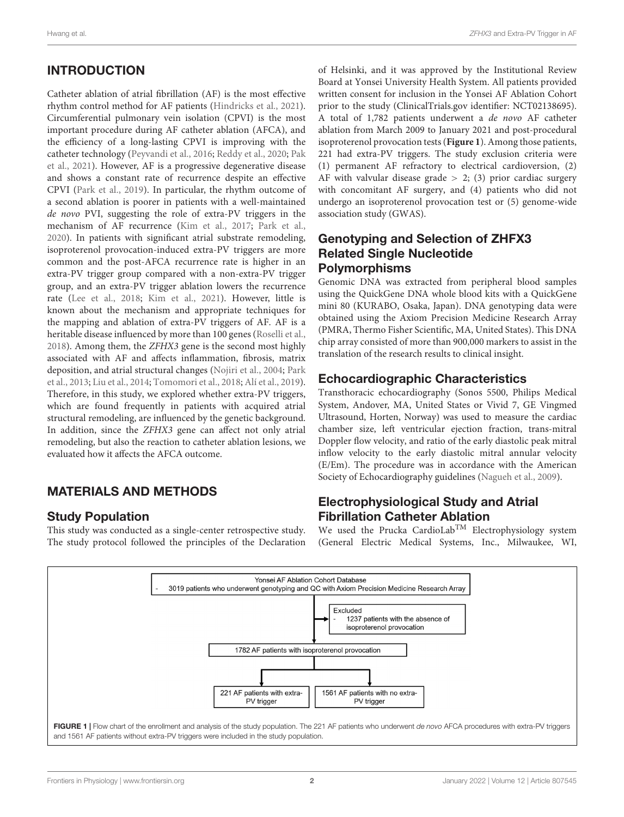# INTRODUCTION

Catheter ablation of atrial fibrillation (AF) is the most effective rhythm control method for AF patients [\(Hindricks et al.,](#page-7-0) [2021\)](#page-7-0). Circumferential pulmonary vein isolation (CPVI) is the most important procedure during AF catheter ablation (AFCA), and the efficiency of a long-lasting CPVI is improving with the catheter technology [\(Peyvandi et al.,](#page-8-0) [2016;](#page-8-0) [Reddy et al.,](#page-8-1) [2020;](#page-8-1) [Pak](#page-7-1) [et al.,](#page-7-1) [2021\)](#page-7-1). However, AF is a progressive degenerative disease and shows a constant rate of recurrence despite an effective CPVI [\(Park et al.,](#page-8-2) [2019\)](#page-8-2). In particular, the rhythm outcome of a second ablation is poorer in patients with a well-maintained de novo PVI, suggesting the role of extra-PV triggers in the mechanism of AF recurrence [\(Kim et al.,](#page-7-2) [2017;](#page-7-2) [Park et al.,](#page-8-3) [2020\)](#page-8-3). In patients with significant atrial substrate remodeling, isoproterenol provocation-induced extra-PV triggers are more common and the post-AFCA recurrence rate is higher in an extra-PV trigger group compared with a non-extra-PV trigger group, and an extra-PV trigger ablation lowers the recurrence rate [\(Lee et al.,](#page-7-3) [2018;](#page-7-3) [Kim et al.,](#page-7-4) [2021\)](#page-7-4). However, little is known about the mechanism and appropriate techniques for the mapping and ablation of extra-PV triggers of AF. AF is a heritable disease influenced by more than 100 genes [\(Roselli et al.,](#page-8-4) [2018\)](#page-8-4). Among them, the ZFHX3 gene is the second most highly associated with AF and affects inflammation, fibrosis, matrix deposition, and atrial structural changes [\(Nojiri et al.,](#page-7-5) [2004;](#page-7-5) [Park](#page-7-6) [et al.,](#page-7-6) [2013;](#page-7-6) [Liu et al.,](#page-7-7) [2014;](#page-7-7) [Tomomori et al.,](#page-8-5) [2018;](#page-8-5) [Alí et al.,](#page-7-8) [2019\)](#page-7-8). Therefore, in this study, we explored whether extra-PV triggers, which are found frequently in patients with acquired atrial structural remodeling, are influenced by the genetic background. In addition, since the ZFHX3 gene can affect not only atrial remodeling, but also the reaction to catheter ablation lesions, we evaluated how it affects the AFCA outcome.

# MATERIALS AND METHODS

### Study Population

This study was conducted as a single-center retrospective study. The study protocol followed the principles of the Declaration

of Helsinki, and it was approved by the Institutional Review Board at Yonsei University Health System. All patients provided written consent for inclusion in the Yonsei AF Ablation Cohort prior to the study [\(ClinicalTrials.gov](https://clinicaltrials.gov) identifier: NCT02138695). A total of 1,782 patients underwent a de novo AF catheter ablation from March 2009 to January 2021 and post-procedural isoproterenol provocation tests (**[Figure 1](#page-1-0)**). Among those patients, 221 had extra-PV triggers. The study exclusion criteria were (1) permanent AF refractory to electrical cardioversion, (2) AF with valvular disease grade  $> 2$ ; (3) prior cardiac surgery with concomitant AF surgery, and (4) patients who did not undergo an isoproterenol provocation test or (5) genome-wide association study (GWAS).

# Genotyping and Selection of ZHFX3 Related Single Nucleotide Polymorphisms

Genomic DNA was extracted from peripheral blood samples using the QuickGene DNA whole blood kits with a QuickGene mini 80 (KURABO, Osaka, Japan). DNA genotyping data were obtained using the Axiom Precision Medicine Research Array (PMRA, Thermo Fisher Scientific, MA, United States). This DNA chip array consisted of more than 900,000 markers to assist in the translation of the research results to clinical insight.

# Echocardiographic Characteristics

Transthoracic echocardiography (Sonos 5500, Philips Medical System, Andover, MA, United States or Vivid 7, GE Vingmed Ultrasound, Horten, Norway) was used to measure the cardiac chamber size, left ventricular ejection fraction, trans-mitral Doppler flow velocity, and ratio of the early diastolic peak mitral inflow velocity to the early diastolic mitral annular velocity (E/Em). The procedure was in accordance with the American Society of Echocardiography guidelines [\(Nagueh et al.,](#page-7-9) [2009\)](#page-7-9).

# Electrophysiological Study and Atrial Fibrillation Catheter Ablation

We used the Prucka CardioLab<sup>TM</sup> Electrophysiology system (General Electric Medical Systems, Inc., Milwaukee, WI,

<span id="page-1-0"></span>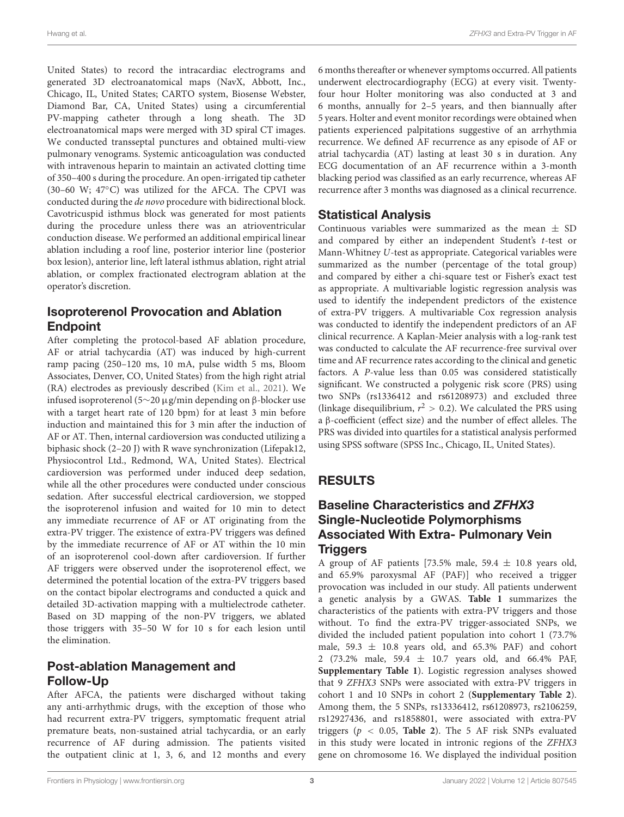United States) to record the intracardiac electrograms and generated 3D electroanatomical maps (NavX, Abbott, Inc., Chicago, IL, United States; CARTO system, Biosense Webster, Diamond Bar, CA, United States) using a circumferential PV-mapping catheter through a long sheath. The 3D electroanatomical maps were merged with 3D spiral CT images. We conducted transseptal punctures and obtained multi-view pulmonary venograms. Systemic anticoagulation was conducted with intravenous heparin to maintain an activated clotting time of 350–400 s during the procedure. An open-irrigated tip catheter (30–60 W;  $47^{\circ}$ C) was utilized for the AFCA. The CPVI was conducted during the de novo procedure with bidirectional block. Cavotricuspid isthmus block was generated for most patients during the procedure unless there was an atrioventricular conduction disease. We performed an additional empirical linear ablation including a roof line, posterior interior line (posterior box lesion), anterior line, left lateral isthmus ablation, right atrial ablation, or complex fractionated electrogram ablation at the operator's discretion.

### Isoproterenol Provocation and Ablation Endpoint

After completing the protocol-based AF ablation procedure, AF or atrial tachycardia (AT) was induced by high-current ramp pacing (250–120 ms, 10 mA, pulse width 5 ms, Bloom Associates, Denver, CO, United States) from the high right atrial (RA) electrodes as previously described [\(Kim et al.,](#page-7-4) [2021\)](#page-7-4). We infused isoproterenol (5∼20 µg/min depending on β-blocker use with a target heart rate of 120 bpm) for at least 3 min before induction and maintained this for 3 min after the induction of AF or AT. Then, internal cardioversion was conducted utilizing a biphasic shock (2–20 J) with R wave synchronization (Lifepak12, Physiocontrol Ltd., Redmond, WA, United States). Electrical cardioversion was performed under induced deep sedation, while all the other procedures were conducted under conscious sedation. After successful electrical cardioversion, we stopped the isoproterenol infusion and waited for 10 min to detect any immediate recurrence of AF or AT originating from the extra-PV trigger. The existence of extra-PV triggers was defined by the immediate recurrence of AF or AT within the 10 min of an isoproterenol cool-down after cardioversion. If further AF triggers were observed under the isoproterenol effect, we determined the potential location of the extra-PV triggers based on the contact bipolar electrograms and conducted a quick and detailed 3D-activation mapping with a multielectrode catheter. Based on 3D mapping of the non-PV triggers, we ablated those triggers with 35–50 W for 10 s for each lesion until the elimination.

# Post-ablation Management and Follow-Up

After AFCA, the patients were discharged without taking any anti-arrhythmic drugs, with the exception of those who had recurrent extra-PV triggers, symptomatic frequent atrial premature beats, non-sustained atrial tachycardia, or an early recurrence of AF during admission. The patients visited the outpatient clinic at 1, 3, 6, and 12 months and every 6 months thereafter or whenever symptoms occurred. All patients underwent electrocardiography (ECG) at every visit. Twentyfour hour Holter monitoring was also conducted at 3 and 6 months, annually for 2–5 years, and then biannually after 5 years. Holter and event monitor recordings were obtained when patients experienced palpitations suggestive of an arrhythmia recurrence. We defined AF recurrence as any episode of AF or atrial tachycardia (AT) lasting at least 30 s in duration. Any ECG documentation of an AF recurrence within a 3-month blacking period was classified as an early recurrence, whereas AF recurrence after 3 months was diagnosed as a clinical recurrence.

# Statistical Analysis

Continuous variables were summarized as the mean  $\pm$  SD and compared by either an independent Student's t-test or Mann-Whitney U-test as appropriate. Categorical variables were summarized as the number (percentage of the total group) and compared by either a chi-square test or Fisher's exact test as appropriate. A multivariable logistic regression analysis was used to identify the independent predictors of the existence of extra-PV triggers. A multivariable Cox regression analysis was conducted to identify the independent predictors of an AF clinical recurrence. A Kaplan-Meier analysis with a log-rank test was conducted to calculate the AF recurrence-free survival over time and AF recurrence rates according to the clinical and genetic factors. A P-value less than 0.05 was considered statistically significant. We constructed a polygenic risk score (PRS) using two SNPs (rs1336412 and rs61208973) and excluded three (linkage disequilibrium,  $r^2 > 0.2$ ). We calculated the PRS using a β-coefficient (effect size) and the number of effect alleles. The PRS was divided into quartiles for a statistical analysis performed using SPSS software (SPSS Inc., Chicago, IL, United States).

# RESULTS

### Baseline Characteristics and ZFHX3 Single-Nucleotide Polymorphisms Associated With Extra- Pulmonary Vein **Triggers**

A group of AF patients [73.5% male, 59.4  $\pm$  10.8 years old, and 65.9% paroxysmal AF (PAF)] who received a trigger provocation was included in our study. All patients underwent a genetic analysis by a GWAS. **[Table 1](#page-3-0)** summarizes the characteristics of the patients with extra-PV triggers and those without. To find the extra-PV trigger-associated SNPs, we divided the included patient population into cohort 1 (73.7% male,  $59.3 \pm 10.8$  years old, and  $65.3\%$  PAF) and cohort 2 (73.2% male, 59.4 ± 10.7 years old, and 66.4% PAF, **[Supplementary Table 1](#page-7-10)**). Logistic regression analyses showed that 9 ZFHX3 SNPs were associated with extra-PV triggers in cohort 1 and 10 SNPs in cohort 2 (**[Supplementary Table 2](#page-7-10)**). Among them, the 5 SNPs, rs13336412, rs61208973, rs2106259, rs12927436, and rs1858801, were associated with extra-PV triggers ( $p < 0.05$ , **[Table 2](#page-3-1)**). The 5 AF risk SNPs evaluated in this study were located in intronic regions of the ZFHX3 gene on chromosome 16. We displayed the individual position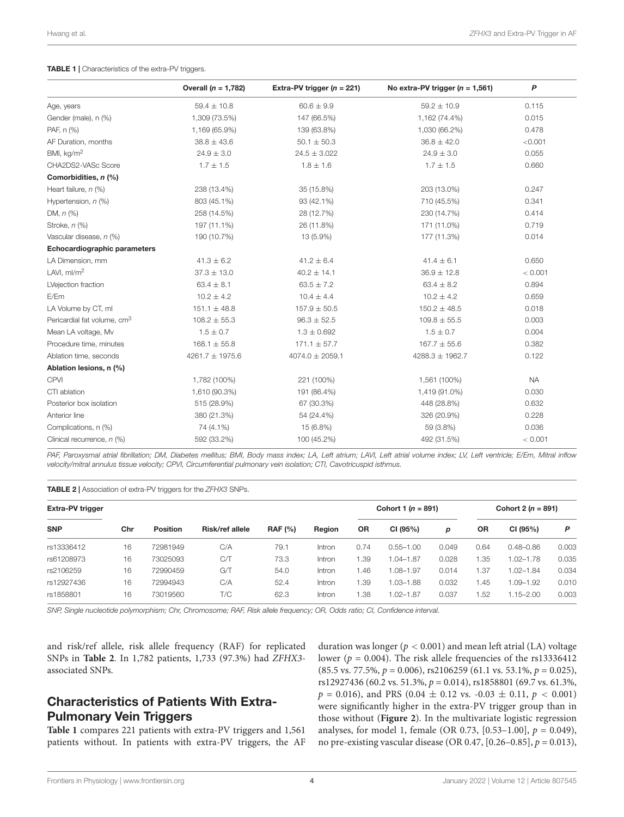#### <span id="page-3-0"></span>TABLE 1 | Characteristics of the extra-PV triggers.

|                                         | Overall $(n = 1,782)$ | Extra-PV trigger $(n = 221)$ | No extra-PV trigger $(n = 1,561)$ | P         |
|-----------------------------------------|-----------------------|------------------------------|-----------------------------------|-----------|
| Age, years                              | $59.4 \pm 10.8$       | $60.6 \pm 9.9$               | $59.2 \pm 10.9$                   | 0.115     |
| Gender (male), n (%)                    | 1,309 (73.5%)         | 147 (66.5%)                  | 1,162 (74.4%)                     | 0.015     |
| PAF, n (%)                              | 1,169 (65.9%)         | 139 (63.8%)                  | 1,030 (66.2%)                     | 0.478     |
| AF Duration, months                     | $38.8 \pm 43.6$       | $50.1 \pm 50.3$              | $36.8 \pm 42.0$                   | < 0.001   |
| BMI, kg/m <sup>2</sup>                  | $24.9 \pm 3.0$        | $24.5 \pm 3.022$             | $24.9 \pm 3.0$                    | 0.055     |
| CHA2DS2-VASc Score                      | $1.7 \pm 1.5$         | $1.8 \pm 1.6$                | $1.7 \pm 1.5$                     | 0.660     |
| Comorbidities, n (%)                    |                       |                              |                                   |           |
| Heart failure, n (%)                    | 238 (13.4%)           | 35 (15.8%)                   | 203 (13.0%)                       | 0.247     |
| Hypertension, n (%)                     | 803 (45.1%)           | 93 (42.1%)                   | 710 (45.5%)                       | 0.341     |
| DM, $n$ (%)                             | 258 (14.5%)           | 28 (12.7%)                   | 230 (14.7%)                       | 0.414     |
| Stroke, n (%)                           | 197 (11.1%)           | 26 (11.8%)                   | 171 (11.0%)                       | 0.719     |
| Vascular disease, n (%)                 | 190 (10.7%)           | 13 (5.9%)                    | 177 (11.3%)                       | 0.014     |
| Echocardiographic parameters            |                       |                              |                                   |           |
| LA Dimension, mm                        | $41.3 \pm 6.2$        | $41.2 \pm 6.4$               | $41.4 \pm 6.1$                    | 0.650     |
| LAVI, $ml/m2$                           | $37.3 \pm 13.0$       | $40.2 \pm 14.1$              | $36.9 \pm 12.8$                   | < 0.001   |
| LVejection fraction                     | $63.4 \pm 8.1$        | $63.5 \pm 7.2$               | $63.4 \pm 8.2$                    | 0.894     |
| E/Em                                    | $10.2 \pm 4.2$        | $10.4 \pm 4.4$               | $10.2 \pm 4.2$                    | 0.659     |
| LA Volume by CT, ml                     | $151.1 \pm 48.8$      | $157.9 \pm 50.5$             | $150.2 \pm 48.5$                  | 0.018     |
| Pericardial fat volume, cm <sup>3</sup> | $108.2 \pm 55.3$      | $96.3 \pm 52.5$              | $109.8 \pm 55.5$                  | 0.003     |
| Mean LA voltage, Mv                     | $1.5 \pm 0.7$         | $1.3 \pm 0.692$              | $1.5 \pm 0.7$                     | 0.004     |
| Procedure time, minutes                 | $168.1 \pm 55.8$      | $171.1 \pm 57.7$             | $167.7 \pm 55.6$                  | 0.382     |
| Ablation time, seconds                  | 4261.7 $\pm$ 1975.6   | $4074.0 \pm 2059.1$          | 4288.3 ± 1962.7                   | 0.122     |
| Ablation lesions, n (%)                 |                       |                              |                                   |           |
| <b>CPVI</b>                             | 1,782 (100%)          | 221 (100%)                   | 1,561 (100%)                      | <b>NA</b> |
| CTI ablation                            | 1,610 (90.3%)         | 191 (86.4%)                  | 1,419 (91.0%)                     | 0.030     |
| Posterior box isolation                 | 515 (28.9%)           | 67 (30.3%)                   | 448 (28.8%)                       | 0.632     |
| Anterior line                           | 380 (21.3%)           | 54 (24.4%)                   | 326 (20.9%)                       | 0.228     |
| Complications, n (%)                    | 74 (4.1%)             | 15 (6.8%)                    | 59 (3.8%)                         | 0.036     |
| Clinical recurrence, n (%)              | 592 (33.2%)           | 100 (45.2%)                  | 492 (31.5%)                       | < 0.001   |

PAF, Paroxysmal atrial fibrillation; DM, Diabetes mellitus; BMI, Body mass index; LA, Left atrium; LAVI, Left atrial volume index; LV, Left ventricle; E/Em, Mitral inflow velocity/mitral annulus tissue velocity; CPVI, Circumferential pulmonary vein isolation; CTI, Cavotricuspid isthmus.

<span id="page-3-1"></span>TABLE 2 | Association of extra-PV triggers for the ZFHX3 SNPs.

| <b>Extra-PV trigger</b> |     |                 |                 |                |        | Cohort 1 ( $n = 891$ ) |               |       | Cohort 2 ( $n = 891$ ) |               |       |
|-------------------------|-----|-----------------|-----------------|----------------|--------|------------------------|---------------|-------|------------------------|---------------|-------|
| <b>SNP</b>              | Chr | <b>Position</b> | Risk/ref allele | <b>RAF (%)</b> | Region | <b>OR</b>              | CI (95%)      | p     | <b>OR</b>              | CI (95%)      | P     |
| rs13336412              | 16  | 72981949        | C/A             | 79.1           | Intron | 0.74                   | $0.55 - 1.00$ | 0.049 | 0.64                   | $0.48 - 0.86$ | 0.003 |
| rs61208973              | 16  | 73025093        | C/T             | 73.3           | Intron | 1.39                   | $1.04 - 1.87$ | 0.028 | 35. ا                  | $.02 - 1.78$  | 0.035 |
| rs2106259               | 16  | 72990459        | G/T             | 54.0           | Intron | 1.46                   | $.08 - 1.97$  | 0.014 | 37، ا                  | $1.02 - 1.84$ | 0.034 |
| rs12927436              | 16  | 72994943        | C/A             | 52.4           | Intron | 1.39                   | $0.03 - 1.88$ | 0.032 | .45                    | $.09 - 1.92$  | 0.010 |
| rs1858801               | 16  | 73019560        | T/C             | 62.3           | Intron | 1.38                   | 1.02-1.87     | 0.037 | .52                    | $1.15 - 2.00$ | 0.003 |

SNP, Single nucleotide polymorphism; Chr, Chromosome; RAF, Risk allele frequency; OR, Odds ratio; CI, Confidence interval.

and risk/ref allele, risk allele frequency (RAF) for replicated SNPs in **[Table 2](#page-3-1)**. In 1,782 patients, 1,733 (97.3%) had ZFHX3 associated SNPs.

# Characteristics of Patients With Extra-Pulmonary Vein Triggers

**[Table 1](#page-3-0)** compares 221 patients with extra-PV triggers and 1,561 patients without. In patients with extra-PV triggers, the AF

duration was longer ( $p < 0.001$ ) and mean left atrial (LA) voltage lower ( $p = 0.004$ ). The risk allele frequencies of the rs13336412  $(85.5 \text{ vs. } 77.5\%, p = 0.006), \text{ rs}2106259 \ (61.1 \text{ vs. } 53.1\%, p = 0.025),$ rs12927436 (60.2 vs. 51.3%, p = 0.014), rs1858801 (69.7 vs. 61.3%,  $p = 0.016$ ), and PRS (0.04  $\pm$  0.12 vs. -0.03  $\pm$  0.11,  $p < 0.001$ ) were significantly higher in the extra-PV trigger group than in those without (**[Figure 2](#page-4-0)**). In the multivariate logistic regression analyses, for model 1, female (OR 0.73, [0.53–1.00],  $p = 0.049$ ), no pre-existing vascular disease (OR 0.47, [0.26–0.85],  $p = 0.013$ ),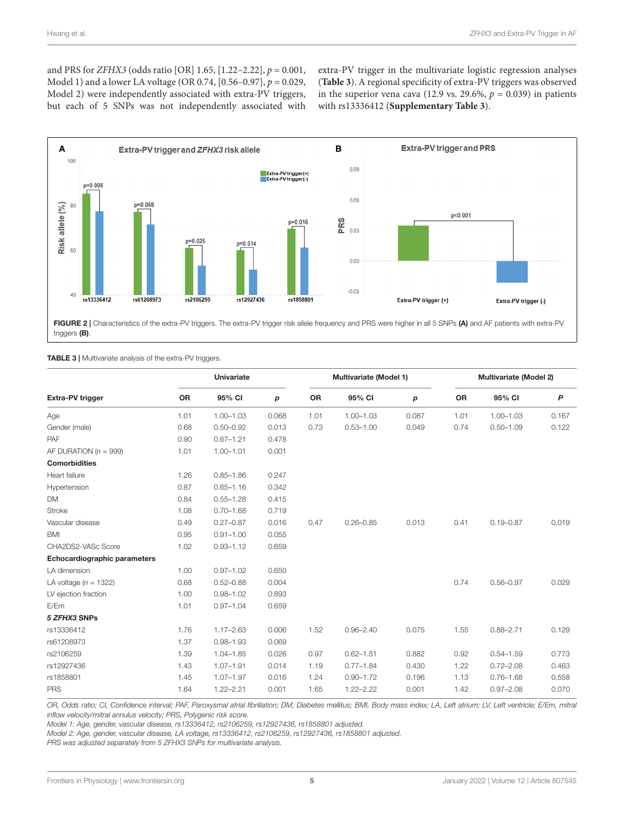and PRS for *ZFHX3* (odds ratio [OR] 1.65,  $[1.22-2.22]$ ,  $p = 0.001$ , Model 1) and a lower LA voltage (OR 0.74,  $[0.56-0.97]$ ,  $p = 0.029$ , Model 2) were independently associated with extra-PV triggers, but each of 5 SNPs was not independently associated with

extra-PV trigger in the multivariate logistic regression analyses (**[Table 3](#page-4-1)**). A regional specificity of extra-PV triggers was observed in the superior vena cava (12.9 vs. 29.6%,  $p = 0.039$ ) in patients with rs13336412 (**[Supplementary Table 3](#page-7-10)**).



<span id="page-4-0"></span>FIGURE 2 | Characteristics of the extra-PV triggers. The extra-PV trigger risk allele frequency and PRS were higher in all 5 SNPs (A) and AF patients with extra-PV triggers (B).

#### <span id="page-4-1"></span>TABLE 3 | Multivariate analysis of the extra-PV triggers.

|                              | <b>Univariate</b> |               |       | Multivariate (Model 1) |               |       | <b>Multivariate (Model 2)</b> |               |       |
|------------------------------|-------------------|---------------|-------|------------------------|---------------|-------|-------------------------------|---------------|-------|
| Extra-PV trigger             | OR                | 95% CI        | p     | OR                     | 95% CI        | p     | OR                            | 95% CI        | P     |
| Age                          | 1.01              | $1.00 - 1.03$ | 0.068 | 1.01                   | $1.00 - 1.03$ | 0.087 | 1.01                          | $1.00 - 1.03$ | 0.167 |
| Gender (male)                | 0.68              | $0.50 - 0.92$ | 0.013 | 0.73                   | $0.53 - 1.00$ | 0.049 | 0.74                          | $0.50 - 1.09$ | 0.122 |
| <b>PAF</b>                   | 0.90              | $0.67 - 1.21$ | 0.478 |                        |               |       |                               |               |       |
| AF DURATION ( $n = 999$ )    | 1.01              | $1.00 - 1.01$ | 0.001 |                        |               |       |                               |               |       |
| <b>Comorbidities</b>         |                   |               |       |                        |               |       |                               |               |       |
| Heart failure                | 1.26              | $0.85 - 1.86$ | 0.247 |                        |               |       |                               |               |       |
| Hypertension                 | 0.87              | $0.65 - 1.16$ | 0.342 |                        |               |       |                               |               |       |
| DM                           | 0.84              | $0.55 - 1.28$ | 0.415 |                        |               |       |                               |               |       |
| <b>Stroke</b>                | 1.08              | $0.70 - 1.68$ | 0.719 |                        |               |       |                               |               |       |
| Vascular disease             | 0.49              | $0.27 - 0.87$ | 0.016 | 0.47                   | $0.26 - 0.85$ | 0.013 | 0.41                          | $0.19 - 0.87$ | 0.019 |
| <b>BMI</b>                   | 0.95              | $0.91 - 1.00$ | 0.055 |                        |               |       |                               |               |       |
| CHA2DS2-VASc Score           | 1.02              | $0.93 - 1.12$ | 0.659 |                        |               |       |                               |               |       |
| Echocardiographic parameters |                   |               |       |                        |               |       |                               |               |       |
| LA dimension                 | 1.00              | $0.97 - 1.02$ | 0.650 |                        |               |       |                               |               |       |
| LA voltage ( $n = 1322$ )    | 0.68              | $0.52 - 0.88$ | 0.004 |                        |               |       | 0.74                          | $0.56 - 0.97$ | 0.029 |
| LV ejection fraction         | 1.00              | $0.98 - 1.02$ | 0.893 |                        |               |       |                               |               |       |
| E/Em                         | 1.01              | $0.97 - 1.04$ | 0.659 |                        |               |       |                               |               |       |
| 5 ZFHX3 SNPs                 |                   |               |       |                        |               |       |                               |               |       |
| rs13336412                   | 1.76              | $1.17 - 2.63$ | 0.006 | 1.52                   | $0.96 - 2.40$ | 0.075 | 1.55                          | $0.88 - 2.71$ | 0.129 |
| rs61208973                   | 1.37              | $0.98 - 1.93$ | 0.069 |                        |               |       |                               |               |       |
| rs2106259                    | 1.39              | $1.04 - 1.85$ | 0.026 | 0.97                   | $0.62 - 1.51$ | 0.882 | 0.92                          | $0.54 - 1.59$ | 0.773 |
| rs12927436                   | 1.43              | $1.07 - 1.91$ | 0.014 | 1.19                   | $0.77 - 1.84$ | 0.430 | 1.22                          | $0.72 - 2.08$ | 0.463 |
| rs1858801                    | 1.45              | $1.07 - 1.97$ | 0.016 | 1.24                   | $0.90 - 1.72$ | 0.196 | 1.13                          | $0.76 - 1.68$ | 0.558 |
| <b>PRS</b>                   | 1.64              | $1.22 - 2.21$ | 0.001 | 1.65                   | $1.22 - 2.22$ | 0.001 | 1.42                          | $0.97 - 2.08$ | 0.070 |

OR, Odds ratio; CI, Confidence interval; PAF, Paroxysmal atrial fibrillation; DM, Diabetes mellitus; BMI, Body mass index; LA, Left atrium; LV, Left ventricle; E/Em, mitral inflow velocity/mitral annulus velocity; PRS, Polygenic risk score.

Model 1: Age, gender, vascular disease, rs13336412, rs2106259, rs12927436, rs1858801 adjusted.

Model 2: Age, gender, vascular disease, LA voltage, rs13336412, rs2106259, rs12927436, rs1858801 adjusted.

PRS was adjusted separately from 5 ZFHX3 SNPs for multivariate analysis.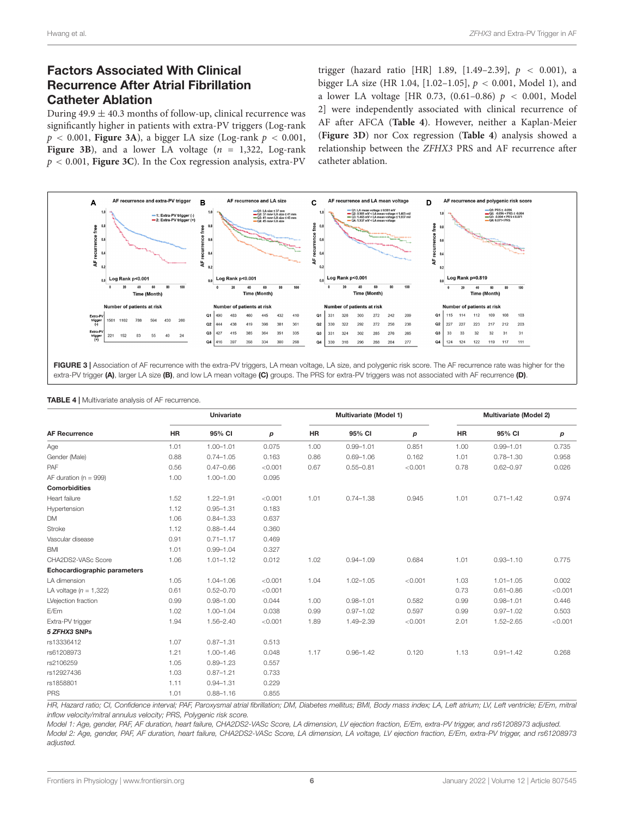### Factors Associated With Clinical Recurrence After Atrial Fibrillation Catheter Ablation

During  $49.9 \pm 40.3$  months of follow-up, clinical recurrence was significantly higher in patients with extra-PV triggers (Log-rank  $p < 0.001$ , **[Figure 3A](#page-5-0)**), a bigger LA size (Log-rank  $p < 0.001$ , **[Figure 3B](#page-5-0)**), and a lower LA voltage  $(n = 1.322, \text{Log-rank})$ p < 0.001, **[Figure 3C](#page-5-0)**). In the Cox regression analysis, extra-PV

trigger (hazard ratio [HR] 1.89, [1.49-2.39],  $p < 0.001$ ), a bigger LA size (HR 1.04, [1.02–1.05],  $p < 0.001$ , Model 1), and a lower LA voltage [HR 0.73,  $(0.61-0.86)$   $p < 0.001$ , Model 2] were independently associated with clinical recurrence of AF after AFCA (**[Table 4](#page-5-1)**). However, neither a Kaplan-Meier (**[Figure 3D](#page-5-0)**) nor Cox regression (**[Table 4](#page-5-1)**) analysis showed a relationship between the ZFHX3 PRS and AF recurrence after catheter ablation.



<span id="page-5-0"></span>FIGURE 3 | Association of AF recurrence with the extra-PV triggers, LA mean voltage, LA size, and polygenic risk score. The AF recurrence rate was higher for the extra-PV trigger (A), larger LA size (B), and low LA mean voltage (C) groups. The PRS for extra-PV triggers was not associated with AF recurrence (D)

|                              | <b>Univariate</b> |               |         | Multivariate (Model 1) |               |         | Multivariate (Model 2) |               |         |
|------------------------------|-------------------|---------------|---------|------------------------|---------------|---------|------------------------|---------------|---------|
| <b>AF Recurrence</b>         | <b>HR</b>         | 95% CI        | p       | HR                     | 95% CI        | p       | HR                     | 95% CI        | p       |
| Age                          | 1.01              | $1.00 - 1.01$ | 0.075   | 1.00                   | $0.99 - 1.01$ | 0.851   | 1.00                   | $0.99 - 1.01$ | 0.735   |
| Gender (Male)                | 0.88              | $0.74 - 1.05$ | 0.163   | 0.86                   | $0.69 - 1.06$ | 0.162   | 1.01                   | $0.78 - 1.30$ | 0.958   |
| PAF                          | 0.56              | $0.47 - 0.66$ | < 0.001 | 0.67                   | $0.55 - 0.81$ | < 0.001 | 0.78                   | $0.62 - 0.97$ | 0.026   |
| AF duration ( $n = 999$ )    | 1.00              | $1.00 - 1.00$ | 0.095   |                        |               |         |                        |               |         |
| <b>Comorbidities</b>         |                   |               |         |                        |               |         |                        |               |         |
| Heart failure                | 1.52              | $1.22 - 1.91$ | < 0.001 | 1.01                   | $0.74 - 1.38$ | 0.945   | 1.01                   | $0.71 - 1.42$ | 0.974   |
| Hypertension                 | 1.12              | $0.95 - 1.31$ | 0.183   |                        |               |         |                        |               |         |
| <b>DM</b>                    | 1.06              | $0.84 - 1.33$ | 0.637   |                        |               |         |                        |               |         |
| <b>Stroke</b>                | 1.12              | $0.88 - 1.44$ | 0.360   |                        |               |         |                        |               |         |
| Vascular disease             | 0.91              | $0.71 - 1.17$ | 0.469   |                        |               |         |                        |               |         |
| <b>BMI</b>                   | 1.01              | $0.99 - 1.04$ | 0.327   |                        |               |         |                        |               |         |
| CHA2DS2-VASc Score           | 1.06              | $1.01 - 1.12$ | 0.012   | 1.02                   | $0.94 - 1.09$ | 0.684   | 1.01                   | $0.93 - 1.10$ | 0.775   |
| Echocardiographic parameters |                   |               |         |                        |               |         |                        |               |         |
| LA dimension                 | 1.05              | $1.04 - 1.06$ | < 0.001 | 1.04                   | $1.02 - 1.05$ | < 0.001 | 1.03                   | $1.01 - 1.05$ | 0.002   |
| LA voltage $(n = 1,322)$     | 0.61              | $0.52 - 0.70$ | < 0.001 |                        |               |         | 0.73                   | $0.61 - 0.86$ | < 0.001 |
| LVejection fraction          | 0.99              | $0.98 - 1.00$ | 0.044   | 1.00                   | $0.98 - 1.01$ | 0.582   | 0.99                   | $0.98 - 1.01$ | 0.446   |
| E/Em                         | 1.02              | $1.00 - 1.04$ | 0.038   | 0.99                   | $0.97 - 1.02$ | 0.597   | 0.99                   | $0.97 - 1.02$ | 0.503   |
| Extra-PV trigger             | 1.94              | 1.56-2.40     | < 0.001 | 1.89                   | 1.49-2.39     | < 0.001 | 2.01                   | $1.52 - 2.65$ | < 0.001 |
| 5 ZFHX3 SNPs                 |                   |               |         |                        |               |         |                        |               |         |
| rs13336412                   | 1.07              | $0.87 - 1.31$ | 0.513   |                        |               |         |                        |               |         |
| rs61208973                   | 1.21              | $1.00 - 1.46$ | 0.048   | 1.17                   | $0.96 - 1.42$ | 0.120   | 1.13                   | $0.91 - 1.42$ | 0.268   |
| rs2106259                    | 1.05              | $0.89 - 1.23$ | 0.557   |                        |               |         |                        |               |         |
| rs12927436                   | 1.03              | $0.87 - 1.21$ | 0.733   |                        |               |         |                        |               |         |
| rs1858801                    | 1.11              | $0.94 - 1.31$ | 0.229   |                        |               |         |                        |               |         |
| <b>PRS</b>                   | 1.01              | $0.88 - 1.16$ | 0.855   |                        |               |         |                        |               |         |

<span id="page-5-1"></span>TABLE 4 | Multivariate analysis of AF recurrence.

HR, Hazard ratio; CI, Confidence interval; PAF, Paroxysmal atrial fibrillation; DM, Diabetes mellitus; BMI, Body mass index; LA, Left atrium; LV, Left ventricle; E/Em, mitral inflow velocity/mitral annulus velocity; PRS, Polygenic risk score.

Model 1: Age, gender, PAF, AF duration, heart failure, CHA2DS2-VASc Score, LA dimension, LV ejection fraction, E/Em, extra-PV trigger, and rs61208973 adjusted. Model 2: Age, gender, PAF, AF duration, heart failure, CHA2DS2-VASc Score, LA dimension, LA voltage, LV ejection fraction, E/Em, extra-PV trigger, and rs61208973 adjusted.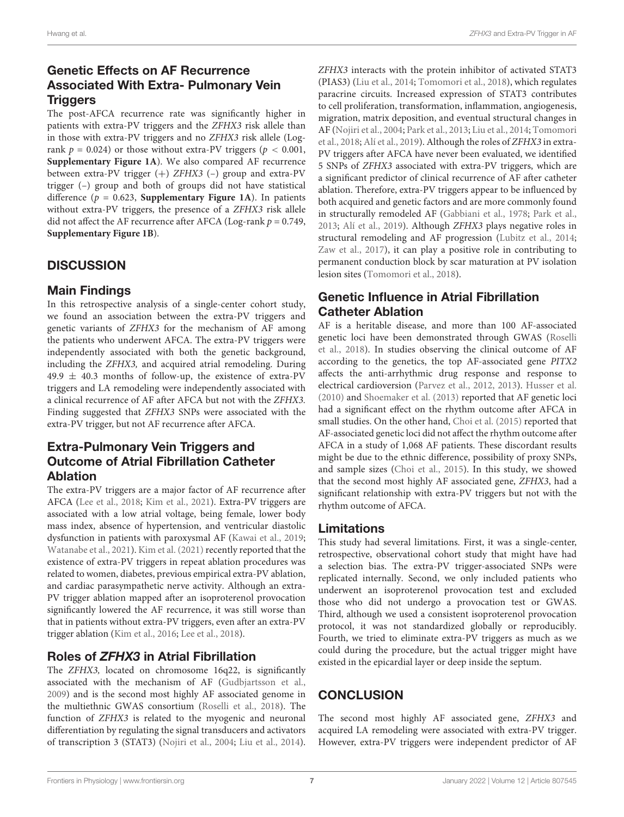# Genetic Effects on AF Recurrence Associated With Extra- Pulmonary Vein **Triggers**

The post-AFCA recurrence rate was significantly higher in patients with extra-PV triggers and the ZFHX3 risk allele than in those with extra-PV triggers and no ZFHX3 risk allele (Logrank  $p = 0.024$ ) or those without extra-PV triggers ( $p < 0.001$ , **[Supplementary Figure 1A](#page-7-10)**). We also compared AF recurrence between extra-PV trigger (+) ZFHX3 (–) group and extra-PV trigger (–) group and both of groups did not have statistical difference ( $p = 0.623$ , **[Supplementary Figure 1A](#page-7-10)**). In patients without extra-PV triggers, the presence of a ZFHX3 risk allele did not affect the AF recurrence after AFCA (Log-rank  $p = 0.749$ , **[Supplementary Figure 1B](#page-7-10)**).

# **DISCUSSION**

# Main Findings

In this retrospective analysis of a single-center cohort study, we found an association between the extra-PV triggers and genetic variants of ZFHX3 for the mechanism of AF among the patients who underwent AFCA. The extra-PV triggers were independently associated with both the genetic background, including the ZFHX3, and acquired atrial remodeling. During  $49.9 \pm 40.3$  months of follow-up, the existence of extra-PV triggers and LA remodeling were independently associated with a clinical recurrence of AF after AFCA but not with the ZFHX3. Finding suggested that ZFHX3 SNPs were associated with the extra-PV trigger, but not AF recurrence after AFCA.

# Extra-Pulmonary Vein Triggers and Outcome of Atrial Fibrillation Catheter Ablation

The extra-PV triggers are a major factor of AF recurrence after AFCA [\(Lee et al.,](#page-7-3) [2018;](#page-7-3) [Kim et al.,](#page-7-4) [2021\)](#page-7-4). Extra-PV triggers are associated with a low atrial voltage, being female, lower body mass index, absence of hypertension, and ventricular diastolic dysfunction in patients with paroxysmal AF [\(Kawai et al.,](#page-7-11) [2019;](#page-7-11) [Watanabe et al.,](#page-8-6) [2021\)](#page-8-6). [Kim et al.](#page-7-4) [\(2021\)](#page-7-4) recently reported that the existence of extra-PV triggers in repeat ablation procedures was related to women, diabetes, previous empirical extra-PV ablation, and cardiac parasympathetic nerve activity. Although an extra-PV trigger ablation mapped after an isoproterenol provocation significantly lowered the AF recurrence, it was still worse than that in patients without extra-PV triggers, even after an extra-PV trigger ablation [\(Kim et al.,](#page-7-12) [2016;](#page-7-12) [Lee et al.,](#page-7-3) [2018\)](#page-7-3).

# Roles of ZFHX3 in Atrial Fibrillation

The ZFHX3, located on chromosome 16q22, is significantly associated with the mechanism of AF [\(Gudbjartsson et al.,](#page-7-13) [2009\)](#page-7-13) and is the second most highly AF associated genome in the multiethnic GWAS consortium [\(Roselli et al.,](#page-8-4) [2018\)](#page-8-4). The function of ZFHX3 is related to the myogenic and neuronal differentiation by regulating the signal transducers and activators of transcription 3 (STAT3) [\(Nojiri et al.,](#page-7-5) [2004;](#page-7-5) [Liu et al.,](#page-7-7) [2014\)](#page-7-7).

ZFHX3 interacts with the protein inhibitor of activated STAT3 (PIAS3) [\(Liu et al.,](#page-7-7) [2014;](#page-7-7) [Tomomori et al.,](#page-8-5) [2018\)](#page-8-5), which regulates paracrine circuits. Increased expression of STAT3 contributes to cell proliferation, transformation, inflammation, angiogenesis, migration, matrix deposition, and eventual structural changes in AF [\(Nojiri et al.,](#page-7-5) [2004;](#page-7-5) [Park et al.,](#page-7-6) [2013;](#page-7-6) [Liu et al.,](#page-7-7) [2014;](#page-7-7) [Tomomori](#page-8-5) [et al.,](#page-8-5) [2018;](#page-8-5) [Alí et al.,](#page-7-8) [2019\)](#page-7-8). Although the roles of ZFHX3 in extra-PV triggers after AFCA have never been evaluated, we identified 5 SNPs of ZFHX3 associated with extra-PV triggers, which are a significant predictor of clinical recurrence of AF after catheter ablation. Therefore, extra-PV triggers appear to be influenced by both acquired and genetic factors and are more commonly found in structurally remodeled AF [\(Gabbiani et al.,](#page-7-14) [1978;](#page-7-14) [Park et al.,](#page-7-6) [2013;](#page-7-6) [Alí et al.,](#page-7-8) [2019\)](#page-7-8). Although ZFHX3 plays negative roles in structural remodeling and AF progression [\(Lubitz et al.,](#page-7-15) [2014;](#page-7-15) [Zaw et al.,](#page-8-7) [2017\)](#page-8-7), it can play a positive role in contributing to permanent conduction block by scar maturation at PV isolation lesion sites [\(Tomomori et al.,](#page-8-5) [2018\)](#page-8-5).

# Genetic Influence in Atrial Fibrillation Catheter Ablation

AF is a heritable disease, and more than 100 AF-associated genetic loci have been demonstrated through GWAS [\(Roselli](#page-8-4) [et al.,](#page-8-4) [2018\)](#page-8-4). In studies observing the clinical outcome of AF according to the genetics, the top AF-associated gene PITX2 affects the anti-arrhythmic drug response and response to electrical cardioversion [\(Parvez et al.,](#page-8-8) [2012,](#page-8-8) [2013\)](#page-8-9). [Husser et al.](#page-7-16) [\(2010\)](#page-7-16) and [Shoemaker et al.](#page-8-10) [\(2013\)](#page-8-10) reported that AF genetic loci had a significant effect on the rhythm outcome after AFCA in small studies. On the other hand, [Choi et al.](#page-7-17) [\(2015\)](#page-7-17) reported that AF-associated genetic loci did not affect the rhythm outcome after AFCA in a study of 1,068 AF patients. These discordant results might be due to the ethnic difference, possibility of proxy SNPs, and sample sizes [\(Choi et al.,](#page-7-17) [2015\)](#page-7-17). In this study, we showed that the second most highly AF associated gene, ZFHX3, had a significant relationship with extra-PV triggers but not with the rhythm outcome of AFCA.

### Limitations

This study had several limitations. First, it was a single-center, retrospective, observational cohort study that might have had a selection bias. The extra-PV trigger-associated SNPs were replicated internally. Second, we only included patients who underwent an isoproterenol provocation test and excluded those who did not undergo a provocation test or GWAS. Third, although we used a consistent isoproterenol provocation protocol, it was not standardized globally or reproducibly. Fourth, we tried to eliminate extra-PV triggers as much as we could during the procedure, but the actual trigger might have existed in the epicardial layer or deep inside the septum.

# **CONCLUSION**

The second most highly AF associated gene, ZFHX3 and acquired LA remodeling were associated with extra-PV trigger. However, extra-PV triggers were independent predictor of AF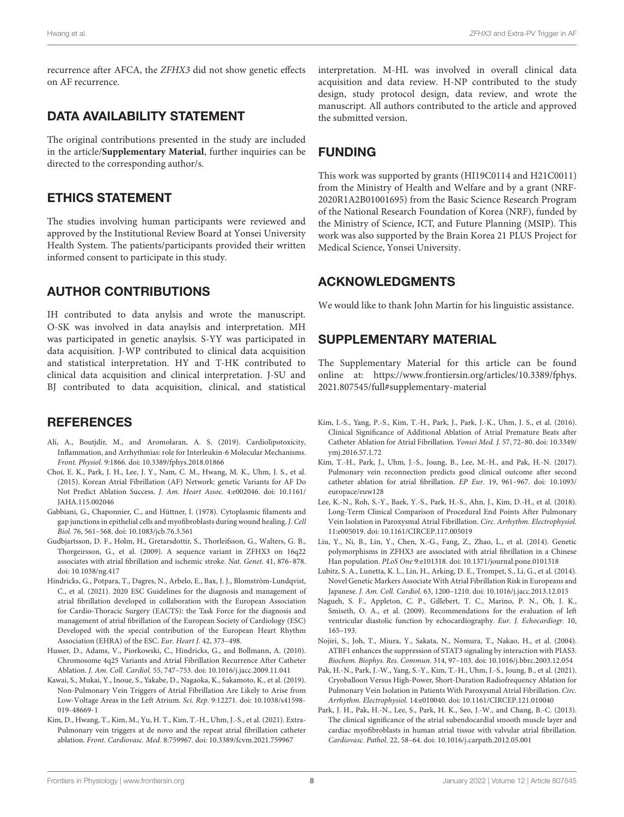recurrence after AFCA, the ZFHX3 did not show genetic effects on AF recurrence.

### DATA AVAILABILITY STATEMENT

The original contributions presented in the study are included in the article/**[Supplementary Material](#page-7-10)**, further inquiries can be directed to the corresponding author/s.

### ETHICS STATEMENT

The studies involving human participants were reviewed and approved by the Institutional Review Board at Yonsei University Health System. The patients/participants provided their written informed consent to participate in this study.

### AUTHOR CONTRIBUTIONS

IH contributed to data anylsis and wrote the manuscript. O-SK was involved in data anaylsis and interpretation. MH was participated in genetic anaylsis. S-YY was participated in data acquisition. J-WP contributed to clinical data acquisition and statistical interpretation. HY and T-HK contributed to clinical data acquisition and clinical interpretation. J-SU and BJ contributed to data acquisition, clinical, and statistical

### **REFERENCES**

- <span id="page-7-8"></span>Alí, A., Boutjdir, M., and Aromolaran, A. S. (2019). Cardiolipotoxicity, Inflammation, and Arrhythmias: role for Interleukin-6 Molecular Mechanisms. Front. Physiol. 9:1866. [doi: 10.3389/fphys.2018.01866](https://doi.org/10.3389/fphys.2018.01866)
- <span id="page-7-17"></span>Choi, E. K., Park, J. H., Lee, J. Y., Nam, C. M., Hwang, M. K., Uhm, J. S., et al. (2015). Korean Atrial Fibrillation (AF) Network: genetic Variants for AF Do Not Predict Ablation Success. J. Am. Heart Assoc. 4:e002046. [doi: 10.1161/](https://doi.org/10.1161/JAHA.115.002046) [JAHA.115.002046](https://doi.org/10.1161/JAHA.115.002046)
- <span id="page-7-14"></span>Gabbiani, G., Chaponnier, C., and Hüttner, I. (1978). Cytoplasmic filaments and gap junctions in epithelial cells and myofibroblasts during wound healing. J. Cell Biol. 76, 561–568. [doi: 10.1083/jcb.76.3.561](https://doi.org/10.1083/jcb.76.3.561)
- <span id="page-7-13"></span>Gudbjartsson, D. F., Holm, H., Gretarsdottir, S., Thorleifsson, G., Walters, G. B., Thorgeirsson, G., et al. (2009). A sequence variant in ZFHX3 on 16q22 associates with atrial fibrillation and ischemic stroke. Nat. Genet. 41, 876–878. [doi: 10.1038/ng.417](https://doi.org/10.1038/ng.417)
- <span id="page-7-0"></span>Hindricks, G., Potpara, T., Dagres, N., Arbelo, E., Bax, J. J., Blomström-Lundqvist, C., et al. (2021). 2020 ESC Guidelines for the diagnosis and management of atrial fibrillation developed in collaboration with the European Association for Cardio-Thoracic Surgery (EACTS): the Task Force for the diagnosis and management of atrial fibrillation of the European Society of Cardiology (ESC) Developed with the special contribution of the European Heart Rhythm Association (EHRA) of the ESC. Eur. Heart J. 42, 373–498.
- <span id="page-7-16"></span>Husser, D., Adams, V., Piorkowski, C., Hindricks, G., and Bollmann, A. (2010). Chromosome 4q25 Variants and Atrial Fibrillation Recurrence After Catheter Ablation. J. Am. Coll. Cardiol. 55, 747–753. [doi: 10.1016/j.jacc.2009.11.041](https://doi.org/10.1016/j.jacc.2009.11.041)
- <span id="page-7-11"></span>Kawai, S., Mukai, Y., Inoue, S., Yakabe, D., Nagaoka, K., Sakamoto, K., et al. (2019). Non-Pulmonary Vein Triggers of Atrial Fibrillation Are Likely to Arise from Low-Voltage Areas in the Left Atrium. Sci. Rep. 9:12271. [doi: 10.1038/s41598-](https://doi.org/10.1038/s41598-019-48669-1) [019-48669-1](https://doi.org/10.1038/s41598-019-48669-1)
- <span id="page-7-4"></span>Kim, D., Hwang, T., Kim, M., Yu, H. T., Kim, T.-H., Uhm, J.-S., et al. (2021). Extra-Pulmonary vein triggers at de novo and the repeat atrial fibrillation catheter ablation. Front. Cardiovasc. Med. 8:759967. [doi: 10.3389/fcvm.2021.759967](https://doi.org/10.3389/fcvm.2021.759967)

interpretation. M-HL was involved in overall clinical data acquisition and data review. H-NP contributed to the study design, study protocol design, data review, and wrote the manuscript. All authors contributed to the article and approved the submitted version.

### FUNDING

This work was supported by grants (HI19C0114 and H21C0011) from the Ministry of Health and Welfare and by a grant (NRF-2020R1A2B01001695) from the Basic Science Research Program of the National Research Foundation of Korea (NRF), funded by the Ministry of Science, ICT, and Future Planning (MSIP). This work was also supported by the Brain Korea 21 PLUS Project for Medical Science, Yonsei University.

### ACKNOWLEDGMENTS

We would like to thank John Martin for his linguistic assistance.

### <span id="page-7-10"></span>SUPPLEMENTARY MATERIAL

The Supplementary Material for this article can be found online at: [https://www.frontiersin.org/articles/10.3389/fphys.](https://www.frontiersin.org/articles/10.3389/fphys.2021.807545/full#supplementary-material) [2021.807545/full#supplementary-material](https://www.frontiersin.org/articles/10.3389/fphys.2021.807545/full#supplementary-material)

- <span id="page-7-12"></span>Kim, I.-S., Yang, P.-S., Kim, T.-H., Park, J., Park, J.-K., Uhm, J. S., et al. (2016). Clinical Significance of Additional Ablation of Atrial Premature Beats after Catheter Ablation for Atrial Fibrillation. Yonsei Med. J. 57, 72–80. [doi: 10.3349/](https://doi.org/10.3349/ymj.2016.57.1.72) [ymj.2016.57.1.72](https://doi.org/10.3349/ymj.2016.57.1.72)
- <span id="page-7-2"></span>Kim, T.-H., Park, J., Uhm, J.-S., Joung, B., Lee, M.-H., and Pak, H.-N. (2017). Pulmonary vein reconnection predicts good clinical outcome after second catheter ablation for atrial fibrillation. EP Eur. 19, 961–967. [doi: 10.1093/](https://doi.org/10.1093/europace/euw128) [europace/euw128](https://doi.org/10.1093/europace/euw128)
- <span id="page-7-3"></span>Lee, K.-N., Roh, S.-Y., Baek, Y.-S., Park, H.-S., Ahn, J., Kim, D.-H., et al. (2018). Long-Term Clinical Comparison of Procedural End Points After Pulmonary Vein Isolation in Paroxysmal Atrial Fibrillation. Circ. Arrhythm. Electrophysiol. 11:e005019. [doi: 10.1161/CIRCEP.117.005019](https://doi.org/10.1161/CIRCEP.117.005019)
- <span id="page-7-7"></span>Liu, Y., Ni, B., Lin, Y., Chen, X.-G., Fang, Z., Zhao, L., et al. (2014). Genetic polymorphisms in ZFHX3 are associated with atrial fibrillation in a Chinese Han population. PLoS One 9:e101318. [doi: 10.1371/journal.pone.0101318](https://doi.org/10.1371/journal.pone.0101318)
- <span id="page-7-15"></span>Lubitz, S. A., Lunetta, K. L., Lin, H., Arking, D. E., Trompet, S., Li, G., et al. (2014). Novel Genetic Markers Associate With Atrial Fibrillation Risk in Europeans and Japanese. J. Am. Coll. Cardiol. 63, 1200–1210. [doi: 10.1016/j.jacc.2013.12.015](https://doi.org/10.1016/j.jacc.2013.12.015)
- <span id="page-7-9"></span>Nagueh, S. F., Appleton, C. P., Gillebert, T. C., Marino, P. N., Oh, J. K., Smiseth, O. A., et al. (2009). Recommendations for the evaluation of left ventricular diastolic function by echocardiography. Eur. J. Echocardiogr. 10, 165–193.
- <span id="page-7-5"></span>Nojiri, S., Joh, T., Miura, Y., Sakata, N., Nomura, T., Nakao, H., et al. (2004). ATBF1 enhances the suppression of STAT3 signaling by interaction with PIAS3. Biochem. Biophys. Res. Commun. 314, 97–103. [doi: 10.1016/j.bbrc.2003.12.054](https://doi.org/10.1016/j.bbrc.2003.12.054)
- <span id="page-7-1"></span>Pak, H.-N., Park, J.-W., Yang, S.-Y., Kim, T.-H., Uhm, J.-S., Joung, B., et al. (2021). Cryoballoon Versus High-Power, Short-Duration Radiofrequency Ablation for Pulmonary Vein Isolation in Patients With Paroxysmal Atrial Fibrillation. Circ. Arrhythm. Electrophysiol. 14:e010040. [doi: 10.1161/CIRCEP.121.010040](https://doi.org/10.1161/CIRCEP.121.010040)
- <span id="page-7-6"></span>Park, J. H., Pak, H.-N., Lee, S., Park, H. K., Seo, J.-W., and Chang, B.-C. (2013). The clinical significance of the atrial subendocardial smooth muscle layer and cardiac myofibroblasts in human atrial tissue with valvular atrial fibrillation. Cardiovasc. Pathol. 22, 58–64. [doi: 10.1016/j.carpath.2012.05.001](https://doi.org/10.1016/j.carpath.2012.05.001)